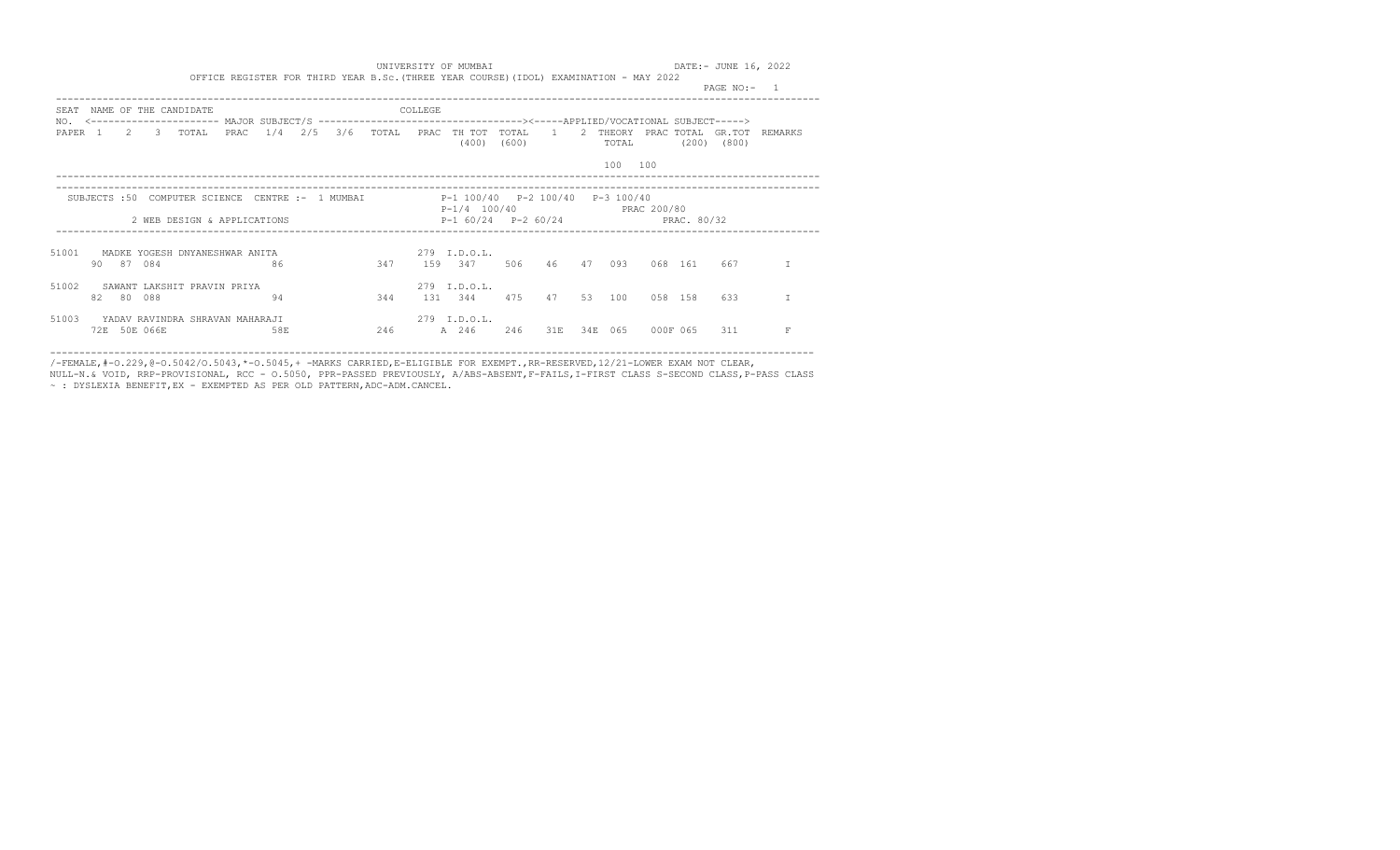|                           |       |              |                               |                                 |     |                    |       |         |                                                   |                |                |     |                 |            | PAGE $NO:$ -    |                |  |
|---------------------------|-------|--------------|-------------------------------|---------------------------------|-----|--------------------|-------|---------|---------------------------------------------------|----------------|----------------|-----|-----------------|------------|-----------------|----------------|--|
| SEAT                      |       |              | NAME OF THE CANDIDATE         |                                 |     |                    |       | COLLEGE |                                                   |                |                |     |                 |            |                 |                |  |
| NO.<br>PAPER <sub>1</sub> |       | $2 \t 3$     | TOTAL                         | PRAC                            | 1/4 | $2/5$ $3/6$        | TOTAL |         | PRAC TH TOT<br>(400)                              | TOTAL<br>(600) | $\overline{1}$ | 2   | THEORY<br>TOTAL | PRAC TOTAL | $(200)$ $(800)$ | GR.TOT REMARKS |  |
|                           |       |              |                               |                                 |     |                    |       |         |                                                   |                |                |     | 100             | 100        |                 |                |  |
|                           |       |              | SUBJECTS :50 COMPUTER SCIENCE |                                 |     | CENTRE :- 1 MUMBAI |       |         | P-1 100/40 P-2 100/40<br>P-1/4 100/40 PRAC 200/80 |                |                |     | P-3 100/40      |            |                 |                |  |
|                           |       |              |                               | 2 WEB DESIGN & APPLICATIONS     |     |                    |       |         | $P-1$ 60/24 $P-2$ 60/24 PRAC 80/32                |                |                |     |                 |            |                 |                |  |
| 51001                     | 90 87 | 084          |                               | MADKE YOGESH DNYANESHWAR ANITA  | 86  |                    | 347   |         | 279 I.D.O.L.<br>159 347                           | 506            | 46             | 47  | 093             | 068 161    | 667             |                |  |
| 51002                     |       | 82 80 088    |                               | SAWANT LAKSHIT PRAVIN PRIYA     | 94  |                    | 344   |         | 279 I.D.O.L.<br>131 344                           | 475            | 47             |     | 53 100          | 058 158    | 633             |                |  |
| 51003                     |       | 72E 50E 066E |                               | YADAV RAVINDRA SHRAVAN MAHARAJI | 58E |                    | 246   |         | 279 I.D.O.L.<br>A 246                             | 246            | 31E            | 34E | 065             | 000F 065   | 311             | F              |  |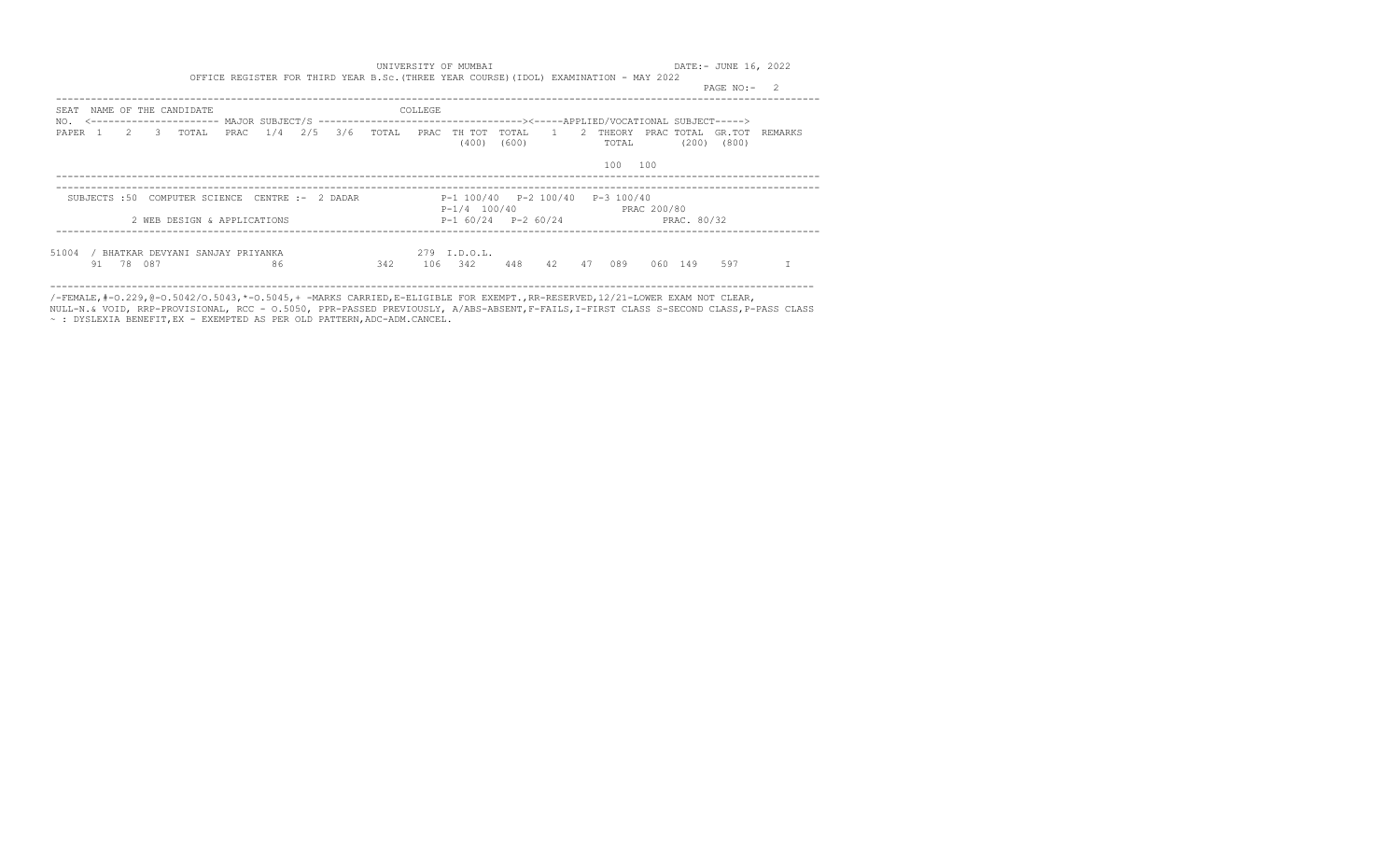|                                                             |                                    |         |                                        |                                                               | PAGE NO:-<br>2          |
|-------------------------------------------------------------|------------------------------------|---------|----------------------------------------|---------------------------------------------------------------|-------------------------|
| NAME OF THE CANDIDATE<br>SEAT                               |                                    | COLLEGE |                                        |                                                               |                         |
| NO.<br>$2 \t 3$<br>PAPER 1<br>TOTAL                         | 1/4<br>2/5 3/6 TOTAL<br>PRAC       |         | PRAC TH TOT<br>TOTAL<br>(400)<br>(600) | 1<br>$\overline{2}$<br>THEORY<br>PRAC TOTAL<br>(200)<br>TOTAL | GR.TOT REMARKS<br>(800) |
|                                                             |                                    |         |                                        | 100<br>100                                                    |                         |
| SUBJECTS :50                                                | COMPUTER SCIENCE CENTRE :- 2 DADAR |         | P-1 100/40 P-2 100/40                  | P-3 100/40<br>P-1/4 100/40 PRAC 200/80                        |                         |
| 2 WEB DESIGN & APPLICATIONS                                 |                                    |         |                                        | PRAC. 80/32<br>$P-1$ 60/24 $P-2$ 60/24                        |                         |
| 51004<br>BHATKAR DEVYANI SANJAY PRIYANKA<br>087<br>78<br>91 | 86                                 | 342     | 279 I.D.O.L.<br>342<br>448<br>106      | 42<br>47<br>089<br>060<br>149                                 | 597                     |

/-FEMALE,#-O.229,@-O.5042/O.5043,\*-O.5045,+ -MARKS CARRIED,E-ELIGIBLE FOR EXEMPT.,RR-RESERVED,12/21-LOWER EXAM NOT CLEAR,

NULL-N.& VOID, RRP-PROVISIONAL, RCC - O.5050, PPR-PASSED PREVIOUSLY, A/ABS-ABSENT,F-FAILS,I-FIRST CLASS S-SECOND CLASS,P-PASS CLASS ~ : DYSLEXIA BENEFIT,EX - EXEMPTED AS PER OLD PATTERN,ADC-ADM.CANCEL.

-----------------------------------------------------------------------------------------------------------------------------------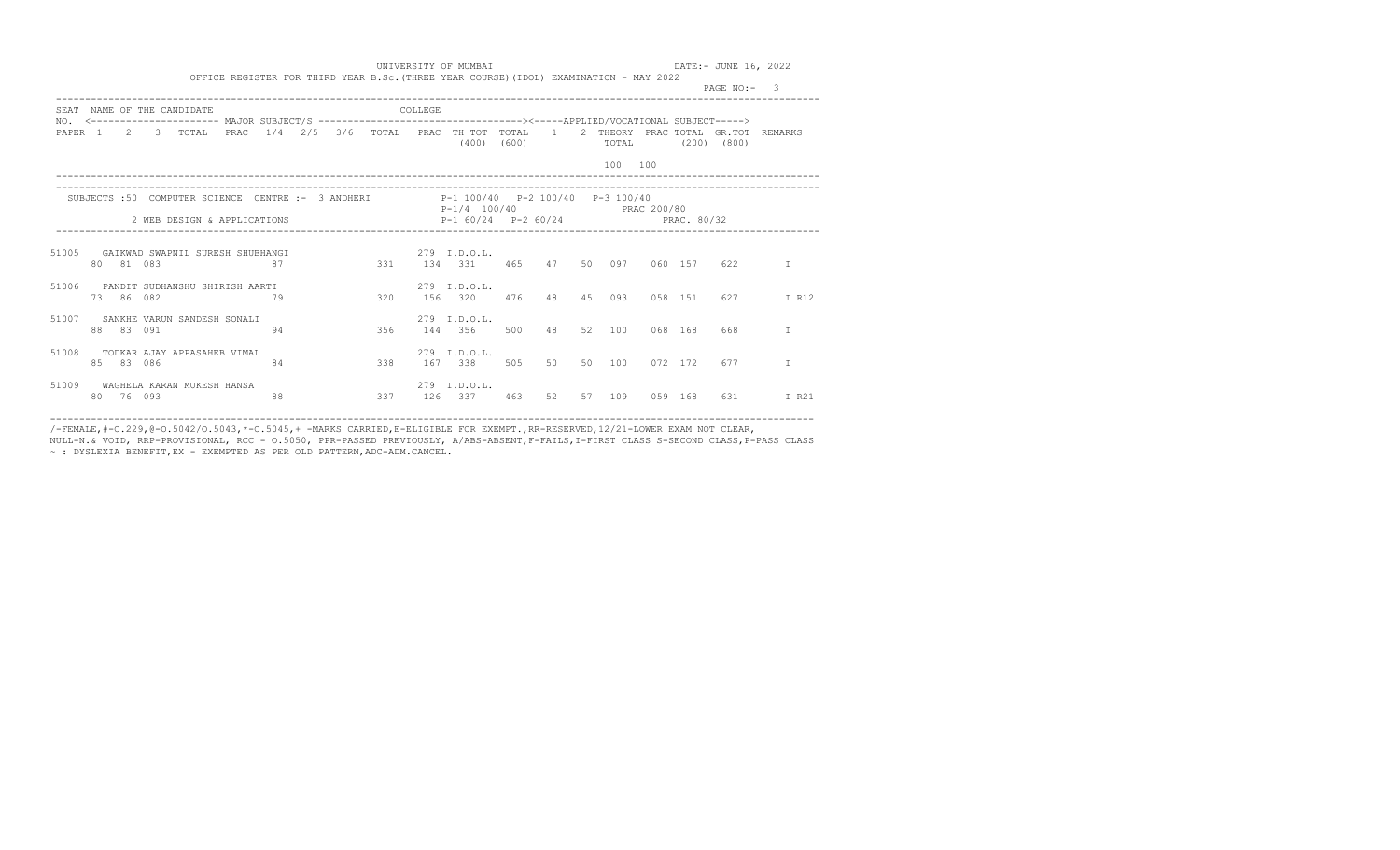|                    |     |           |                                                                                                                                             |                 |    |  |                          |         |                                                    |       |          |     |         |             | PAGE NO:- |                                    |
|--------------------|-----|-----------|---------------------------------------------------------------------------------------------------------------------------------------------|-----------------|----|--|--------------------------|---------|----------------------------------------------------|-------|----------|-----|---------|-------------|-----------|------------------------------------|
| SEAT               |     |           | NAME OF THE CANDIDATE<br>NO. <--------------------- MAJOR SUBJECT/S --------------------------------><-----APPLIED/VOCATIONAL SUBJECT-----> |                 |    |  |                          | COLLEGE |                                                    |       |          |     |         |             |           |                                    |
| PAPER <sub>1</sub> |     |           | 2 3 TOTAL                                                                                                                                   | PRAC            |    |  |                          |         | $1/4$ $2/5$ $3/6$ TOTAL PRAC TH TOT TOTAL<br>(400) | (600) | $\sim$ 1 |     | TOTAL   | (200)       | (800)     | 2 THEORY PRAC TOTAL GR.TOT REMARKS |
|                    |     |           |                                                                                                                                             |                 |    |  |                          |         |                                                    |       |          |     | 100 100 |             |           |                                    |
|                    |     |           | SUBJECTS :50 COMPUTER SCIENCE CENTRE :- 3 ANDHERI P-1 100/40 P-2 100/40 P-3 100/40                                                          |                 |    |  | ________________________ |         | P-1/4 100/40 PRAC 200/80                           |       |          |     |         |             |           |                                    |
|                    |     |           | 2 WEB DESIGN & APPLICATIONS                                                                                                                 |                 |    |  |                          |         | $P-1$ 60/24 $P-2$ 60/24                            |       |          |     |         | PRAC. 80/32 |           |                                    |
| 51005              |     | 80 81 083 | GAIKWAD SWAPNIL SURESH SHUBHANGI                                                                                                            | $\overline{87}$ |    |  | 331                      |         | $279$ T.D.O.L.<br>134 331                          | 465   | 47       |     | 50 097  | 060 157     | 622       | T                                  |
| 51006              |     |           | PANDIT SUDHANSHU SHIRISH AARTI                                                                                                              |                 |    |  |                          |         | $279$ T.D.O.T.                                     |       |          |     |         |             |           |                                    |
|                    |     | 73 86 082 |                                                                                                                                             |                 | 79 |  | 320                      |         | 156 320                                            | 476   | 48       | 4.5 | 093     | 0.58 1.51   | 627       | I R12                              |
| 51007              |     | 88 83 091 | SANKHE VARUN SANDESH SONALI                                                                                                                 |                 | 94 |  | 356                      |         | 279 I.D.O.L.<br>144 356                            | 500   | 48       | 52  | 100     | 068 168     | 668       | T                                  |
| 51008              | 8.5 | 83 086    | TODKAR AJAY APPASAHEB VIMAL                                                                                                                 |                 | 84 |  | 338                      |         | 279 I.D.O.L.<br>167 338                            | 505   | 50       | 50  | 100     | 072 172     | 677       | T                                  |
| 51009              |     |           | WAGHELA KARAN MUKESH HANSA                                                                                                                  |                 |    |  |                          |         | 279 I.D.O.L.                                       |       |          |     |         |             |           |                                    |
|                    | 80  | 76 093    |                                                                                                                                             |                 | 88 |  | 337                      |         | 126 337                                            | 463   | 52       |     | 57 109  | 0.59 1.68   | 631       | I R21                              |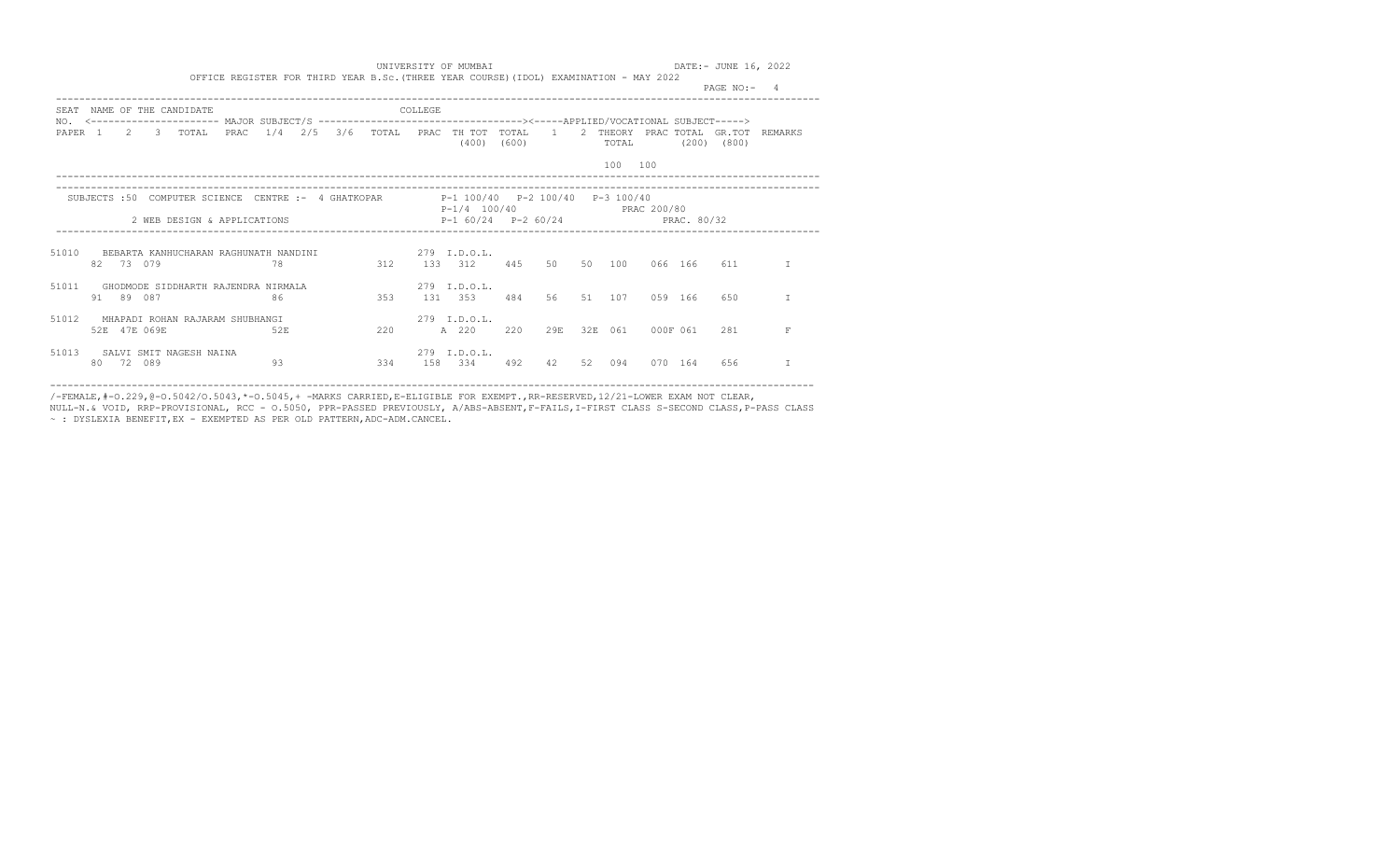|       |              |                                     |      |     |     |     |         |                                                                                                                                                                        |       |     |    |                  |           |         | PAGE $NO: -4$   |                                      |
|-------|--------------|-------------------------------------|------|-----|-----|-----|---------|------------------------------------------------------------------------------------------------------------------------------------------------------------------------|-------|-----|----|------------------|-----------|---------|-----------------|--------------------------------------|
| SEAT  |              | NAME OF THE CANDIDATE               |      |     |     |     | COLLEGE |                                                                                                                                                                        |       |     |    |                  |           |         |                 |                                      |
|       |              | PAPER 1 2 3 TOTAL                   | PRAC |     |     |     |         | NO. <--------------------- MAJOR SUBJECT/S --------------------------------><-----APPLIED/VOCATIONAL SUBJECT----><br>$1/4$ $2/5$ $3/6$ TOTAL PRAC THTOT TOTAL<br>(400) | (600) |     |    | TOTAL<br>100 100 |           |         | $(200)$ $(800)$ | 1 2 THEORY PRAC TOTAL GR.TOT REMARKS |
|       |              | 2 WEB DESIGN & APPLICATIONS         |      |     |     |     |         | SUBJECTS :50 COMPUTER SCIENCE CENTRE :- 4 GHATKOPAR 100/40 P-2 100/40 P-3 100/40<br>P-1/4 100/40 PRAC 200/80<br>$P-1$ 60/24 $P-2$ 60/24 PRAC. 80/32                    |       |     |    |                  |           |         |                 |                                      |
|       | 82 73 079    | 78                                  |      |     |     |     |         | 51010 BEBARTA KANHUCHARAN RAGHUNATH NANDINI                                   279   I.D.O.L.<br>312 133 312 445                                                        |       |     |    | 50 50 100        |           | 066 166 | 611             | T                                    |
| 51011 | 91 89 087    | GHODMODE SIDDHARTH RAJENDRA NIRMALA |      | 86  | 353 |     |         | 279 T.D.O.L.<br>131 353                                                                                                                                                | 484   |     |    | 56 51 107        | 0.59 1.66 |         | 650             |                                      |
| 51012 | 52E 47E 069E | MHAPADI ROHAN RAJARAM SHUBHANGI     |      | 52E |     | 220 |         | $279$ T.D.O.L.<br>A 220                                                                                                                                                | 220   | 29円 |    | 32E 061          | 000F 061  |         | 2.81            | F                                    |
| 51013 | 80 72 089    | SALVI SMIT NAGESH NAINA             |      | 93  |     | 334 |         | $279$ T.D.O.L.<br>158 334                                                                                                                                              | 492   | 42  | 52 | 094              | 070       | 164     | 656             |                                      |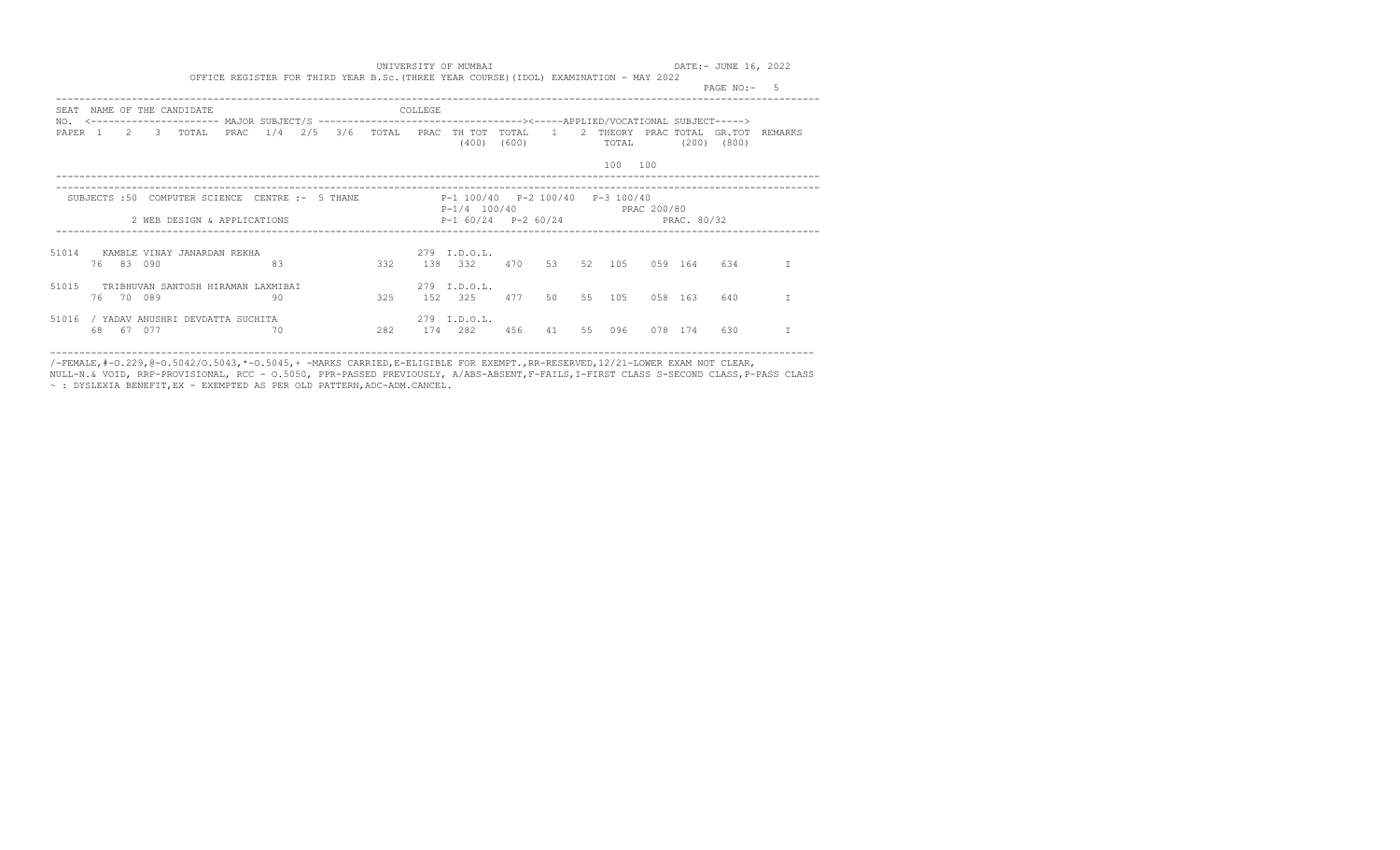|                           |    |              |           |                                    |      |     |         |       |         |                                                   |                |                |    |                 |         |            | PAGE $NO:$ -    |                |  |
|---------------------------|----|--------------|-----------|------------------------------------|------|-----|---------|-------|---------|---------------------------------------------------|----------------|----------------|----|-----------------|---------|------------|-----------------|----------------|--|
| SEAT                      |    |              |           | NAME OF THE CANDIDATE              |      |     |         |       | COLLEGE |                                                   |                |                |    |                 |         |            |                 |                |  |
| NO.<br>PAPER <sub>1</sub> |    |              | $2 \t 3$  | TOTAL                              | PRAC | 1/4 | 2/5 3/6 | TOTAL |         | PRAC TH TOT<br>(400)                              | TOTAL<br>(600) | $\overline{1}$ | 2  | THEORY<br>TOTAL |         | PRAC TOTAL | $(200)$ $(800)$ | GR.TOT REMARKS |  |
|                           |    |              |           |                                    |      |     |         |       |         |                                                   |                |                |    | 100             | 100     |            |                 |                |  |
|                           |    | SUBJECTS :50 |           | COMPUTER SCIENCE CENTRE :- 5 THANE |      |     |         |       |         | P-1 100/40 P-2 100/40<br>P-1/4 100/40 PRAC 200/80 |                |                |    | P-3 100/40      |         |            |                 |                |  |
|                           |    |              |           | 2 WEB DESIGN & APPLICATIONS        |      |     |         |       |         | $P-1$ 60/24 $P-2$ 60/24 PRAC 80/32                |                |                |    |                 |         |            |                 |                |  |
| 51014                     |    |              | 76 83 090 | KAMBLE VINAY JANARDAN REKHA        |      | 83  |         | 332   | 138     | 279 I.D.O.L.<br>332                               | 470            | 53             |    | 52 105          |         | 059 164    | 634             |                |  |
| 51015                     |    |              | 76 70 089 | TRIBHUVAN SANTOSH HIRAMAN LAXMIBAI |      | 90  |         | 325   | 1.52    | 279 I.D.O.L.<br>325                               | 477            | 50             |    | 55 105          | 058 163 |            | 640             |                |  |
| 51016                     | 68 | - 67         | 077       | / YADAV ANUSHRI DEVDATTA SUCHITA   |      | 70  |         | 282   | 174     | 279 I.D.O.L.<br>282                               | 456            | 41             | 55 | 096             | 078     | 174        | 630             |                |  |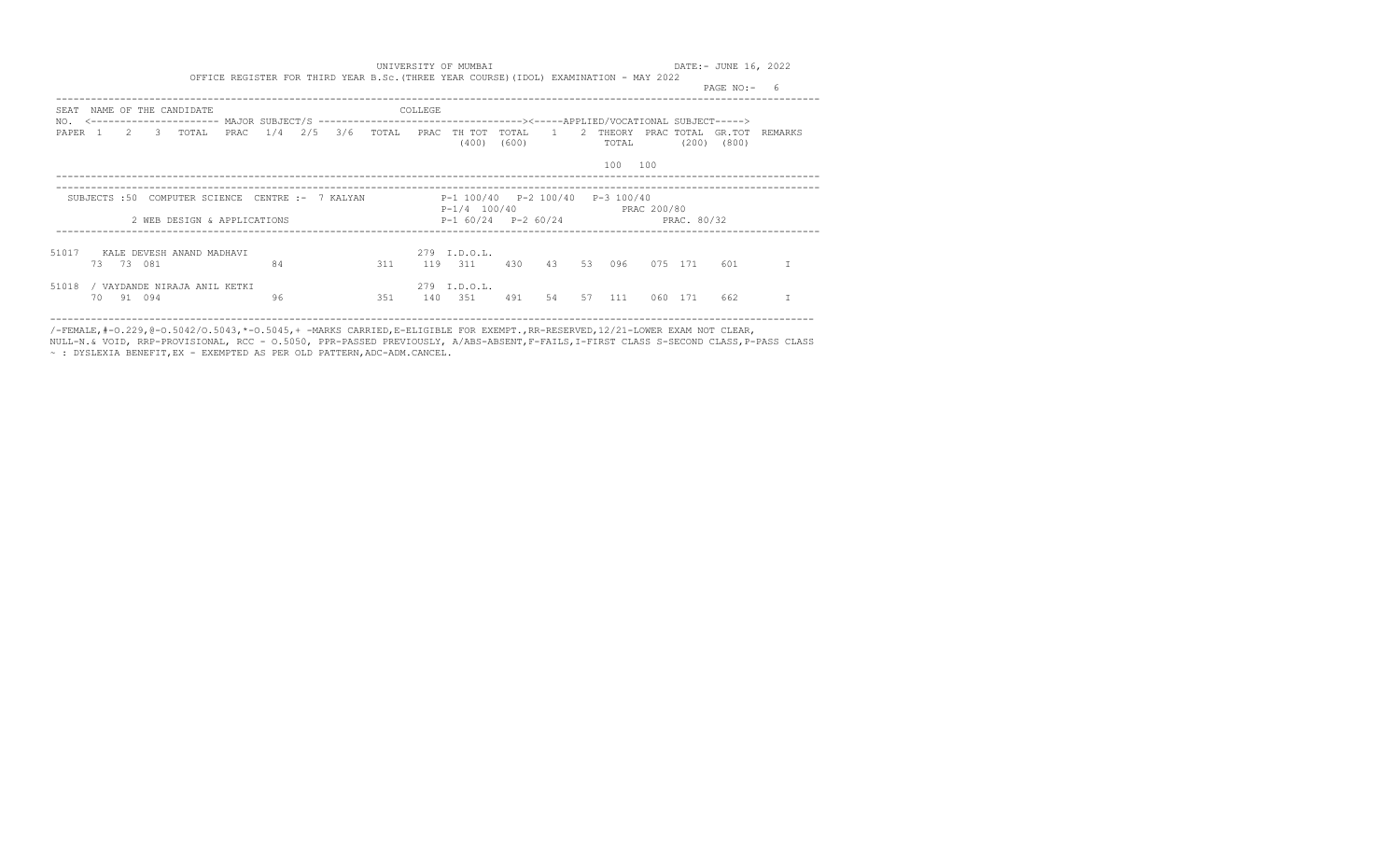|                           |     |           |                                                  |      |    |  |     |         |                                                              |       |    |    |                            |     |         | PAGE NO:-                  | -6      |
|---------------------------|-----|-----------|--------------------------------------------------|------|----|--|-----|---------|--------------------------------------------------------------|-------|----|----|----------------------------|-----|---------|----------------------------|---------|
| SEAT                      |     |           | NAME OF THE CANDIDATE                            |      |    |  |     | COLLEGE |                                                              |       |    |    |                            |     |         |                            |         |
| NO.<br>PAPER <sub>1</sub> |     |           | 2 3 TOTAL                                        | PRAC |    |  |     |         | $1/4$ $2/5$ $3/6$ TOTAL PRAC THTOT TOTAL<br>(400)            | (600) |    |    | 1 2 THEORY<br><b>TOTAL</b> |     | (200)   | PRAC TOTAL GR.TOT<br>(800) | REMARKS |
|                           |     |           |                                                  |      |    |  |     |         |                                                              |       |    |    | 100                        | 100 |         |                            |         |
|                           |     |           | SUBJECTS: 50 COMPUTER SCIENCE CENTRE: - 7 KALYAN |      |    |  |     |         | P-1 100/40 P-2 100/40 P-3 100/40<br>P-1/4 100/40 PRAC 200/80 |       |    |    |                            |     |         |                            |         |
|                           |     |           | 2 WEB DESIGN & APPLICATIONS                      |      |    |  |     |         | $P-1$ 60/24 $P-2$ 60/24 PRAC. 80/32                          |       |    |    |                            |     |         |                            |         |
| 51017                     |     |           | KALE DEVESH ANAND MADHAVI                        |      |    |  |     |         | $279$ T.D.O.T.                                               |       |    |    |                            |     |         |                            |         |
|                           |     | 73 73 081 |                                                  |      | 84 |  | 311 |         | 119 311                                                      | 430   |    |    | 43 53 096                  |     | 075 171 | 601                        |         |
| 51018                     |     |           | / VAYDANDE NIRAJA ANIL KETKI                     |      |    |  |     |         | 279 I.D.O.L.                                                 |       |    |    |                            |     |         |                            |         |
|                           | 70. | 91 094    |                                                  |      | 96 |  | 351 | 140     | 351                                                          | 491   | 54 | 57 | 111                        | 060 | 171     | 662                        |         |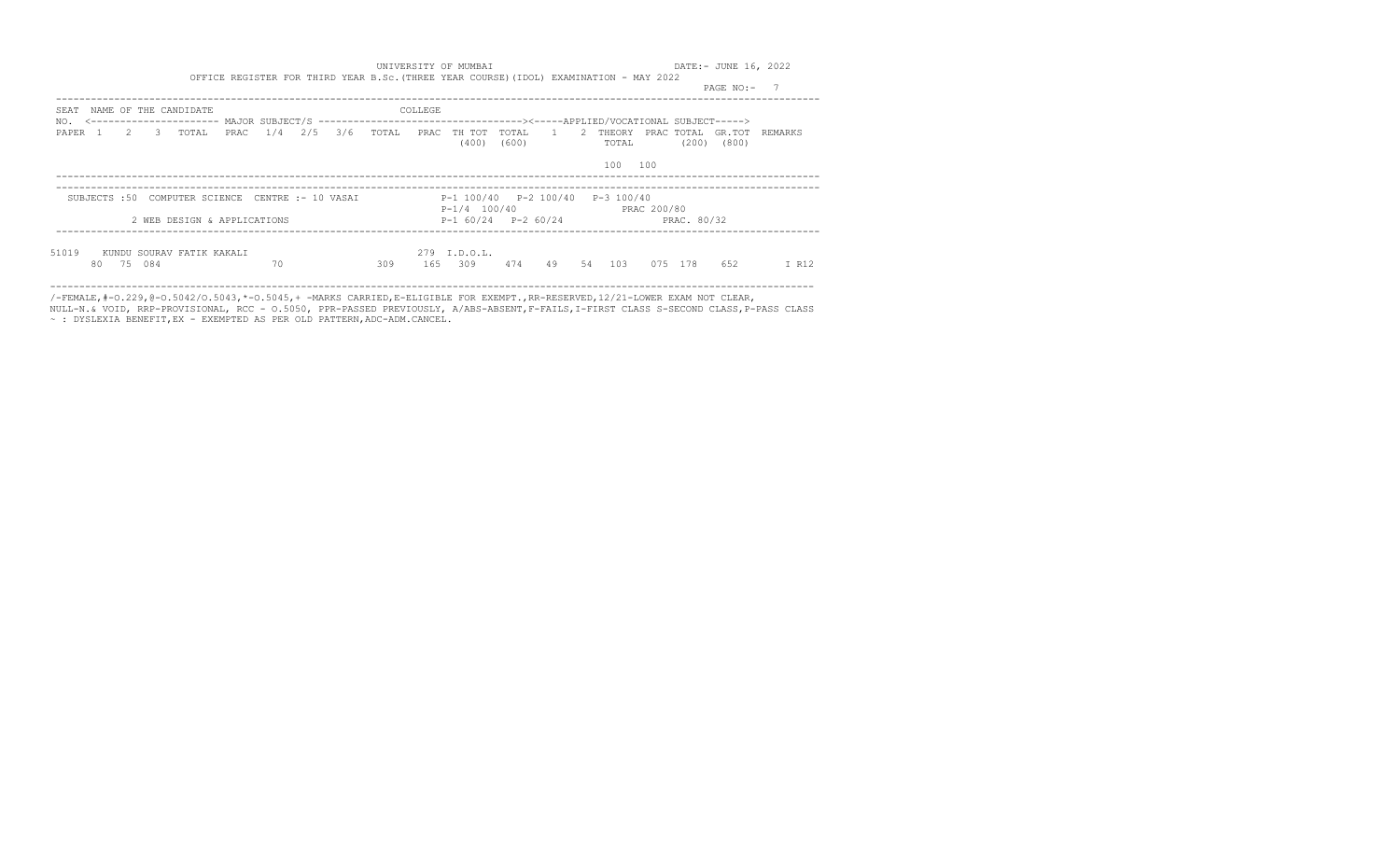|                                                             | PAGE NO:-                                                                                                 |
|-------------------------------------------------------------|-----------------------------------------------------------------------------------------------------------|
| NAME OF THE CANDIDATE<br>SEAT                               | COLLEGE                                                                                                   |
| NO.<br>1/4 2/5 3/6 TOTAL<br>PAPER 1 2 3<br>TOTAL<br>PRAC    | 1 2 THEORY<br>PRAC TH TOT TOTAL<br>PRAC TOTAL GR.TOT REMARKS<br>(400)<br>(200)<br>(600)<br>(800)<br>TOTAL |
|                                                             | 100<br>100                                                                                                |
| SUBJECTS: 50 COMPUTER SCIENCE CENTRE: - 10 VASAI            | P-1 100/40 P-2 100/40<br>P-3 100/40<br>$P-1/4$ 100/40<br>PRAC 200/80                                      |
| 2 WEB DESIGN & APPLICATIONS                                 | $P-1$ 60/24 $P-2$ 60/24<br>PRAC. 80/32                                                                    |
| 51019<br>KUNDU SOURAV FATIK KAKALI<br>70<br>084<br>80<br>75 | 279 I.D.O.L.<br>309<br>309<br>474<br>49<br>54<br>103<br>652<br>165<br>075<br>- 178<br>I R12               |

/-FEMALE,#-O.229,@-O.5042/O.5043,\*-O.5045,+ -MARKS CARRIED,E-ELIGIBLE FOR EXEMPT.,RR-RESERVED,12/21-LOWER EXAM NOT CLEAR,

NULL-N.& VOID, RRP-PROVISIONAL, RCC - O.5050, PPR-PASSED PREVIOUSLY, A/ABS-ABSENT,F-FAILS,I-FIRST CLASS S-SECOND CLASS,P-PASS CLASS ~ : DYSLEXIA BENEFIT,EX - EXEMPTED AS PER OLD PATTERN,ADC-ADM.CANCEL.

-----------------------------------------------------------------------------------------------------------------------------------